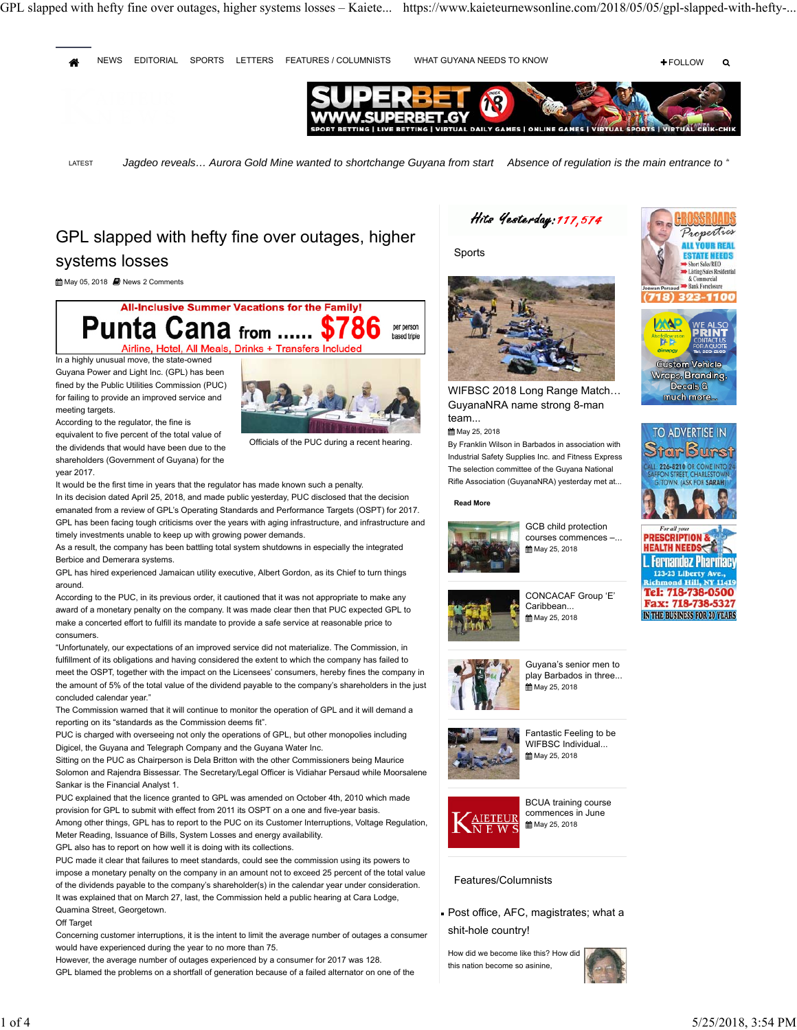## GPL slapped with hefty fine over outages, higher systems losses

May 05, 2018 **N** News 2 Comments

**All-Inclusive Summer Vacations for the Family!** Punta Cana from ...... \$786 per person based triple Airline, Hotel, All Meals, Drinks + Transfers Include

In a highly unusual move, the state-owned Guyana Power and Light Inc. (GPL) has been fined by the Public Utilities Commission (PUC) for failing to provide an improved service and meeting targets.

According to the regulator, the fine is

equivalent to five percent of the total value of the dividends that would have been due to the shareholders (Government of Guyana) for the year 2017.



Officials of the PUC during a recent hearing.

It would be the first time in years that the regulator has made known such a penalty. In its decision dated April 25, 2018, and made public yesterday, PUC disclosed that the decision emanated from a review of GPL's Operating Standards and Performance Targets (OSPT) for 2017. GPL has been facing tough criticisms over the years with aging infrastructure, and infrastructure and timely investments unable to keep up with growing power demands.

As a result, the company has been battling total system shutdowns in especially the integrated Berbice and Demerara systems.

GPL has hired experienced Jamaican utility executive, Albert Gordon, as its Chief to turn things around.

According to the PUC, in its previous order, it cautioned that it was not appropriate to make any award of a monetary penalty on the company. It was made clear then that PUC expected GPL to make a concerted effort to fulfill its mandate to provide a safe service at reasonable price to consumers.

"Unfortunately, our expectations of an improved service did not materialize. The Commission, in fulfillment of its obligations and having considered the extent to which the company has failed to meet the OSPT, together with the impact on the Licensees' consumers, hereby fines the company in the amount of 5% of the total value of the dividend payable to the company's shareholders in the just concluded calendar year."

The Commission warned that it will continue to monitor the operation of GPL and it will demand a reporting on its "standards as the Commission deems fit".

PUC is charged with overseeing not only the operations of GPL, but other monopolies including Digicel, the Guyana and Telegraph Company and the Guyana Water Inc.

Sitting on the PUC as Chairperson is Dela Britton with the other Commissioners being Maurice Solomon and Rajendra Bissessar. The Secretary/Legal Officer is Vidiahar Persaud while Moorsalene Sankar is the Financial Analyst 1.

PUC explained that the licence granted to GPL was amended on October 4th, 2010 which made provision for GPL to submit with effect from 2011 its OSPT on a one and five-year basis.

Among other things, GPL has to report to the PUC on its Customer Interruptions, Voltage Regulation, Meter Reading, Issuance of Bills, System Losses and energy availability.

GPL also has to report on how well it is doing with its collections.

PUC made it clear that failures to meet standards, could see the commission using its powers to impose a monetary penalty on the company in an amount not to exceed 25 percent of the total value of the dividends payable to the company's shareholder(s) in the calendar year under consideration. It was explained that on March 27, last, the Commission held a public hearing at Cara Lodge, Quamina Street, Georgetown.

## Off Target

Concerning customer interruptions, it is the intent to limit the average number of outages a consumer would have experienced during the year to no more than 75.

However, the average number of outages experienced by a consumer for 2017 was 128. GPL blamed the problems on a shortfall of generation because of a failed alternator on one of the